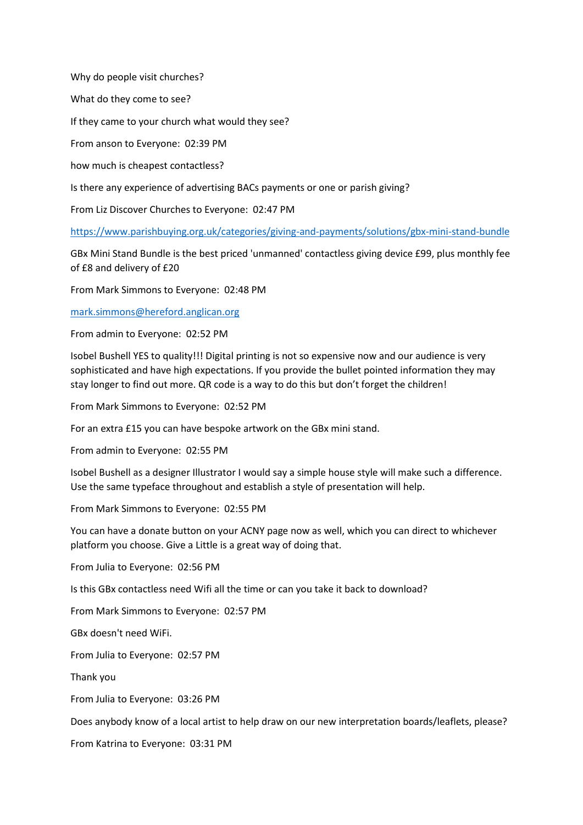Why do people visit churches?

What do they come to see?

If they came to your church what would they see?

From anson to Everyone: 02:39 PM

how much is cheapest contactless?

Is there any experience of advertising BACs payments or one or parish giving?

From Liz Discover Churches to Everyone: 02:47 PM

<https://www.parishbuying.org.uk/categories/giving-and-payments/solutions/gbx-mini-stand-bundle>

GBx Mini Stand Bundle is the best priced 'unmanned' contactless giving device £99, plus monthly fee of £8 and delivery of £20

From Mark Simmons to Everyone: 02:48 PM

[mark.simmons@hereford.anglican.org](mailto:mark.simmons@hereford.anglican.org)

From admin to Everyone: 02:52 PM

Isobel Bushell YES to quality!!! Digital printing is not so expensive now and our audience is very sophisticated and have high expectations. If you provide the bullet pointed information they may stay longer to find out more. QR code is a way to do this but don't forget the children!

From Mark Simmons to Everyone: 02:52 PM

For an extra £15 you can have bespoke artwork on the GBx mini stand.

From admin to Everyone: 02:55 PM

Isobel Bushell as a designer Illustrator I would say a simple house style will make such a difference. Use the same typeface throughout and establish a style of presentation will help.

From Mark Simmons to Everyone: 02:55 PM

You can have a donate button on your ACNY page now as well, which you can direct to whichever platform you choose. Give a Little is a great way of doing that.

From Julia to Everyone: 02:56 PM

Is this GBx contactless need Wifi all the time or can you take it back to download?

From Mark Simmons to Everyone: 02:57 PM

GBx doesn't need WiFi.

From Julia to Everyone: 02:57 PM

Thank you

From Julia to Everyone: 03:26 PM

Does anybody know of a local artist to help draw on our new interpretation boards/leaflets, please?

From Katrina to Everyone: 03:31 PM